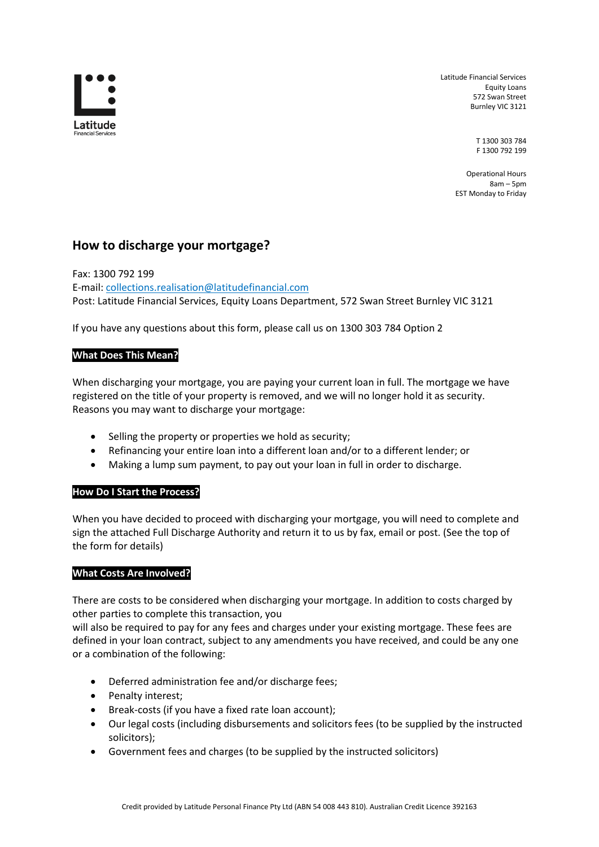

Latitude Financial Services Equity Loans 572 Swan Street Burnley VIC 3121

> T 1300 303 784 F 1300 792 199

Operational Hours 8am – 5pm EST Monday to Friday

# **How to discharge your mortgage?**

Fax: 1300 792 199 E-mail: collections.realisation@latitudefinancial.com Post: Latitude Financial Services, Equity Loans Department, 572 Swan Street Burnley VIC 3121

If you have any questions about this form, please call us on 1300 303 784 Option 2

## **What Does This Mean?**

When discharging your mortgage, you are paying your current loan in full. The mortgage we have registered on the title of your property is removed, and we will no longer hold it as security. Reasons you may want to discharge your mortgage:

- Selling the property or properties we hold as security;
- Refinancing your entire loan into a different loan and/or to a different lender; or
- Making a lump sum payment, to pay out your loan in full in order to discharge.

### **How Do I Start the Process?**

When you have decided to proceed with discharging your mortgage, you will need to complete and sign the attached Full Discharge Authority and return it to us by fax, email or post. (See the top of the form for details)

### **What Costs Are Involved?**

There are costs to be considered when discharging your mortgage. In addition to costs charged by other parties to complete this transaction, you

will also be required to pay for any fees and charges under your existing mortgage. These fees are defined in your loan contract, subject to any amendments you have received, and could be any one or a combination of the following:

- Deferred administration fee and/or discharge fees;
- Penalty interest;
- Break-costs (if you have a fixed rate loan account);
- Our legal costs (including disbursements and solicitors fees (to be supplied by the instructed solicitors);
- Government fees and charges (to be supplied by the instructed solicitors)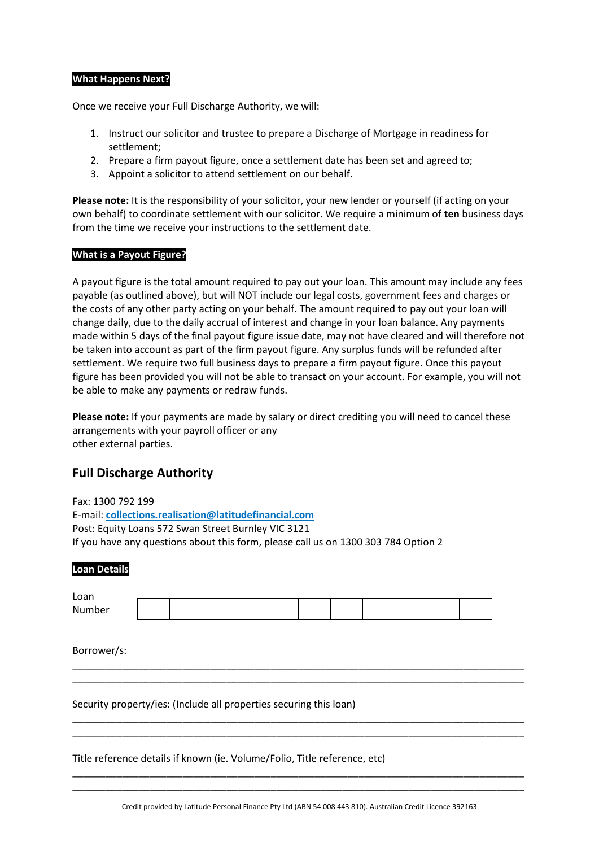#### **What Happens Next?**

Once we receive your Full Discharge Authority, we will:

- 1. Instruct our solicitor and trustee to prepare a Discharge of Mortgage in readiness for settlement;
- 2. Prepare a firm payout figure, once a settlement date has been set and agreed to;
- 3. Appoint a solicitor to attend settlement on our behalf.

**Please note:** It is the responsibility of your solicitor, your new lender or yourself (if acting on your own behalf) to coordinate settlement with our solicitor. We require a minimum of **ten** business days from the time we receive your instructions to the settlement date.

#### **What is a Payout Figure?**

A payout figure is the total amount required to pay out your loan. This amount may include any fees payable (as outlined above), but will NOT include our legal costs, government fees and charges or the costs of any other party acting on your behalf. The amount required to pay out your loan will change daily, due to the daily accrual of interest and change in your loan balance. Any payments made within 5 days of the final payout figure issue date, may not have cleared and will therefore not be taken into account as part of the firm payout figure. Any surplus funds will be refunded after settlement. We require two full business days to prepare a firm payout figure. Once this payout figure has been provided you will not be able to transact on your account. For example, you will not be able to make any payments or redraw funds.

**Please note:** If your payments are made by salary or direct crediting you will need to cancel these arrangements with your payroll officer or any other external parties.

# **Full Discharge Authority**

Fax: 1300 792 199 E-mail: **collections.realisation@latitudefinancial.com** Post: Equity Loans 572 Swan Street Burnley VIC 3121 If you have any questions about this form, please call us on 1300 303 784 Option 2

#### **Loan Details**

| Loan        |  |  |  |  |  |  |  |  |  |  |  |
|-------------|--|--|--|--|--|--|--|--|--|--|--|
| Number      |  |  |  |  |  |  |  |  |  |  |  |
|             |  |  |  |  |  |  |  |  |  |  |  |
|             |  |  |  |  |  |  |  |  |  |  |  |
| Borrower/s: |  |  |  |  |  |  |  |  |  |  |  |

\_\_\_\_\_\_\_\_\_\_\_\_\_\_\_\_\_\_\_\_\_\_\_\_\_\_\_\_\_\_\_\_\_\_\_\_\_\_\_\_\_\_\_\_\_\_\_\_\_\_\_\_\_\_\_\_\_\_\_\_\_\_\_\_\_\_\_\_\_\_\_\_\_\_\_\_\_\_\_\_\_\_ \_\_\_\_\_\_\_\_\_\_\_\_\_\_\_\_\_\_\_\_\_\_\_\_\_\_\_\_\_\_\_\_\_\_\_\_\_\_\_\_\_\_\_\_\_\_\_\_\_\_\_\_\_\_\_\_\_\_\_\_\_\_\_\_\_\_\_\_\_\_\_\_\_\_\_\_\_\_\_\_\_\_

\_\_\_\_\_\_\_\_\_\_\_\_\_\_\_\_\_\_\_\_\_\_\_\_\_\_\_\_\_\_\_\_\_\_\_\_\_\_\_\_\_\_\_\_\_\_\_\_\_\_\_\_\_\_\_\_\_\_\_\_\_\_\_\_\_\_\_\_\_\_\_\_\_\_\_\_\_\_\_\_\_\_ \_\_\_\_\_\_\_\_\_\_\_\_\_\_\_\_\_\_\_\_\_\_\_\_\_\_\_\_\_\_\_\_\_\_\_\_\_\_\_\_\_\_\_\_\_\_\_\_\_\_\_\_\_\_\_\_\_\_\_\_\_\_\_\_\_\_\_\_\_\_\_\_\_\_\_\_\_\_\_\_\_\_

Security property/ies: (Include all properties securing this loan)

Title reference details if known (ie. Volume/Folio, Title reference, etc)

\_\_\_\_\_\_\_\_\_\_\_\_\_\_\_\_\_\_\_\_\_\_\_\_\_\_\_\_\_\_\_\_\_\_\_\_\_\_\_\_\_\_\_\_\_\_\_\_\_\_\_\_\_\_\_\_\_\_\_\_\_\_\_\_\_\_\_\_\_\_\_\_\_\_\_\_\_\_\_\_\_\_ \_\_\_\_\_\_\_\_\_\_\_\_\_\_\_\_\_\_\_\_\_\_\_\_\_\_\_\_\_\_\_\_\_\_\_\_\_\_\_\_\_\_\_\_\_\_\_\_\_\_\_\_\_\_\_\_\_\_\_\_\_\_\_\_\_\_\_\_\_\_\_\_\_\_\_\_\_\_\_\_\_\_